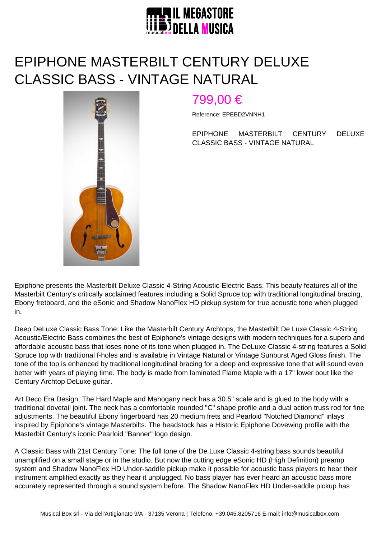

## EPIPHONE MASTERBILT CENTURY DELUXE CLASSIC BASS - VINTAGE NATURAL



## 799,00 €

Reference: EPEBD2VNNH1

EPIPHONE MASTERBILT CENTURY DELUXE CLASSIC BASS - VINTAGE NATURAL

Epiphone presents the Masterbilt Deluxe Classic 4-String Acoustic-Electric Bass. This beauty features all of the Masterbilt Century's critically acclaimed features including a Solid Spruce top with traditional longitudinal bracing, Ebony fretboard, and the eSonic and Shadow NanoFlex HD pickup system for true acoustic tone when plugged in.

Deep DeLuxe Classic Bass Tone: Like the Masterbilt Century Archtops, the Masterbilt De Luxe Classic 4-String Acoustic/Electric Bass combines the best of Epiphone's vintage designs with modern techniques for a superb and affordable acoustic bass that loses none of its tone when plugged in. The DeLuxe Classic 4-string features a Solid Spruce top with traditional f-holes and is available in Vintage Natural or Vintage Sunburst Aged Gloss finish. The tone of the top is enhanced by traditional longitudinal bracing for a deep and expressive tone that will sound even better with years of playing time. The body is made from laminated Flame Maple with a 17" lower bout like the Century Archtop DeLuxe guitar.

Art Deco Era Design: The Hard Maple and Mahogany neck has a 30.5" scale and is glued to the body with a traditional dovetail joint. The neck has a comfortable rounded "C" shape profile and a dual action truss rod for fine adjustments. The beautiful Ebony fingerboard has 20 medium frets and Pearloid "Notched Diamond" inlays inspired by Epiphone's vintage Masterbilts. The headstock has a Historic Epiphone Dovewing profile with the Masterbilt Century's iconic Pearloid "Banner" logo design.

A Classic Bass with 21st Century Tone: The full tone of the De Luxe Classic 4-string bass sounds beautiful unamplified on a small stage or in the studio. But now the cutting edge eSonic HD (High Definition) preamp system and Shadow NanoFlex HD Under-saddle pickup make it possible for acoustic bass players to hear their instrument amplified exactly as they hear it unplugged. No bass player has ever heard an acoustic bass more accurately represented through a sound system before. The Shadow NanoFlex HD Under-saddle pickup has